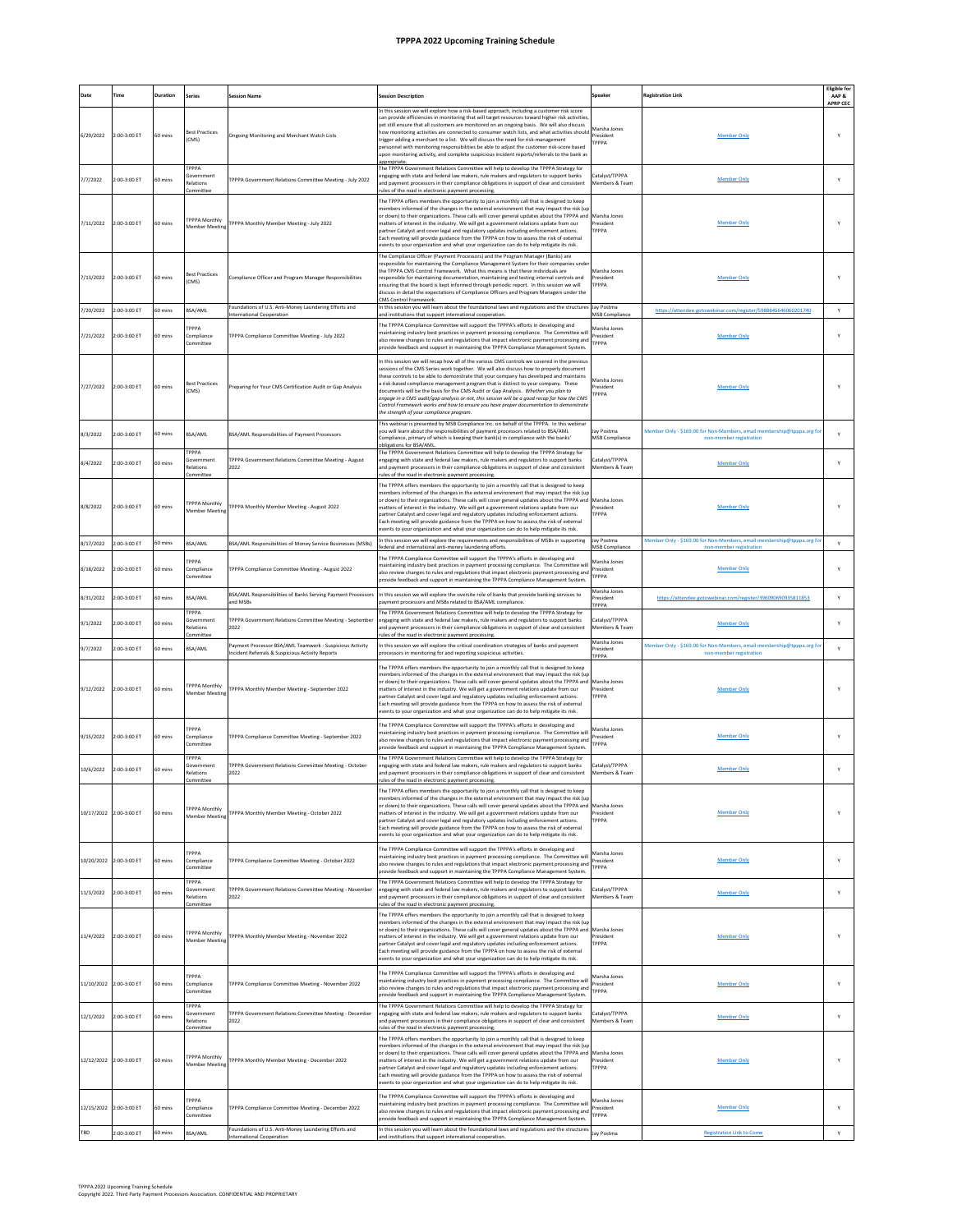## **TPPPA 2022 Upcoming Training Schedule**

| Date       | Time                    | Duration | <b>Series</b>                                        | <b>Session Name</b>                                                               | <b>Session Description</b>                                                                                                                                                                                                                                                                                                                                                                                                                                                                                                                                                                                                                                                                        | ipeaker                                    | <b>Registration Link</b>                                                                         | <b>Eligible for</b><br>AAP& |
|------------|-------------------------|----------|------------------------------------------------------|-----------------------------------------------------------------------------------|---------------------------------------------------------------------------------------------------------------------------------------------------------------------------------------------------------------------------------------------------------------------------------------------------------------------------------------------------------------------------------------------------------------------------------------------------------------------------------------------------------------------------------------------------------------------------------------------------------------------------------------------------------------------------------------------------|--------------------------------------------|--------------------------------------------------------------------------------------------------|-----------------------------|
| 6/29/2022  | 2:00-3:00 ET            | 60 mins  | <b>Best Practices</b><br>(CMS)                       | <b>Ongoing Monitoring and Merchant Watch Lists</b>                                | In this session we will explore how a risk-based approach, including a customer risk score<br>an provide efficiencies in monitoring that will target resources toward higher risk activitie<br>vet still ensure that all customers are monitored on an ongoing basis. We will also discuss<br>how monitoring activities are connected to consumer watch lists, and what activities should<br>trigger adding a merchant to a list. We will discuss the need for risk-management<br>personnel with monitoring responsibilities be able to adjust the customer risk-score based<br>pon monitoring activity, and complete suspicious incident reports/referrals to the bank as                        | Marsha Innes<br>President<br>PPPA          | Member Only                                                                                      | <b>APRP CEC</b>             |
| 7/7/2022   | 2:00-3:00 ET            | 60 mins  | TPPPA<br>Government<br>Relations<br>Committee        | TPPPA Government Relations Committee Meeting - July 2022                          | appropriate.<br>The TPPPA Government Relations Committee will help to develop the TPPPA Strategy for<br>ingaging with state and federal law makers, rule makers and regulators to support banks<br>and payment processors in their compliance obligations in support of clear and consistent<br>rules of the road in electronic payment processing                                                                                                                                                                                                                                                                                                                                                | Catalyst/TPPPA<br>Members & Team           | <b>Member Only</b>                                                                               | Y                           |
| 7/11/2022  | 2:00-3:00 ET            | 60 mins  | <b>TPPPA Monthly</b><br>Member Meetin                | TPPPA Monthly Member Meeting - July 2022                                          | The TPPPA offers members the opportunity to join a monthly call that is designed to keep<br>members informed of the changes in the external environment that may impact the risk (up<br>or down) to their organizations. These calls will cover general updates about the TPPPA and<br>matters of interest in the industry. We will get a government relations update from our<br>partner Catalyst and cover legal and regulatory updates including enforcement actions.<br>Each meeting will provide guidance from the TPPPA on how to assess the risk of external<br>events to your organization and what your organization can do to help mitigate its risk.                                   | Marsha Jones<br>resident<br><b>TPPPA</b>   | <b>Member Only</b>                                                                               |                             |
| 7/13/2022  | 2:00-3:00 ET            | 60 mins  | <b>Best Practices</b><br>(CMS)                       | Compliance Officer and Program Manager Responsibilities                           | The Compliance Officer (Payment Processors) and the Program Manager (Banks) are<br>responsible for maintaining the Compliance Management System for their companies unde<br>the TPPPA CMS Control Framework. What this means is that these individuals are<br>responsible for maintaining documentation, maintaining and testing internal controls and<br>ensuring that the board is kept informed through periodic report. In this session we will<br>discuss in detail the expectations of Compliance Officers and Program Managers under the<br>MS Control Framework.                                                                                                                          | Marsha Jones<br>resident<br>ГРРРА          | <b>Member Only</b>                                                                               |                             |
| 7/20/2022  | 2:00-3:00 ET            | 50 mins  | BSA/AML                                              | Foundations of U.S. Anti-Money Laundering Efforts and<br>nternational Cooperation | In this session you will learn about the foundational laws and regulations and the structures<br>ind institutions that support international cooperation                                                                                                                                                                                                                                                                                                                                                                                                                                                                                                                                          | Jay Postma<br><b>MSB Compliance</b>        | https://attendee.gotowebinar.com/register/5988845646060201740                                    | $\mathsf{Y}$                |
| 7/21/2022  | 2:00-3:00 ET            | 60 mins  | <b>PPPA</b><br>Compliance<br><b>Committee</b>        | TPPPA Compliance Committee Meeting - July 2022                                    | The TPPPA Compliance Committee will support the TPPPA's efforts in developing and<br>naintaining industry best practices in payment processing compliance. The Committee wil<br>also review changes to rules and regulations that impact electronic payment processing and<br>provide feedback and support in maintaining the TPPPA Compliance Management System.                                                                                                                                                                                                                                                                                                                                 | Aarsha Jones<br>President<br>TPPPA         | <b>Member Only</b>                                                                               |                             |
| 7/27/2022  | 2:00-3:00 ET            | 60 mins  | <b>Best Practices</b><br>CMS)                        | Preparing for Your CMS Certification Audit or Gap Analysis                        | In this session we will recap how all of the various CMS controls we covered in the previous<br>sessions of the CMS Series work together. We will also discuss how to properly document<br>these controls to be able to demonstrate that your company has developed and maintains<br>risk-based compliance management program that is distinct to your company. These<br>documents will be the basis for the CMS Audit or Gap Analysis. Whether you plan to<br>engage in a CMS audit/gap analysis or not, this session will be a good recap for how the CMS<br>Control Framework works and how to ensure you have proper documentation to demonstrate<br>the strenath of your compliance program. | Marsha Jones<br>President<br><b>PPPA</b>   | <b>Member Only</b>                                                                               |                             |
| B/3/2022   | 2:00-3:00 ET            | 60 mins  | BSA/AML                                              | BSA/AML Responsibilities of Payment Processors                                    | This webinar is presented by MSB Compliance Inc. on behalf of the TPPPA. In this webinar<br>you will learn about the responsibilities of payment processors related to BSA/AML<br>Compliance, primary of which is keeping their bank(s) in compliance with the banks'<br>obligations for BSA/AML                                                                                                                                                                                                                                                                                                                                                                                                  | av Postma<br><b>MSB Compliance</b>         | Member Only - \$169.00 for Non-Members, email membership@tpppa.org fo<br>non-member registration | Y                           |
| 3/4/2022   | 2:00-3:00 ET            | 50 mins  | ТРРРА<br>Government<br>Relations<br><b>Committee</b> | TPPPA Government Relations Committee Meeting - August<br>2022                     | The TPPPA Government Relations Committee will help to develop the TPPPA Strategy for<br>engaging with state and federal law makers, rule makers and regulators to support banks<br>ind payment processors in their compliance obligations in support of clear and consistent<br>ules of the road in electronic payment processing                                                                                                                                                                                                                                                                                                                                                                 | atalyst/TPPPA<br>Members & Team            | <b>Member Only</b>                                                                               | Y                           |
| 8/8/2022   | 2:00-3:00 ET            | 60 mins  | <b>TPPPA Monthly</b><br>Member Meetin                | FPPPA Monthly Member Meeting - August 2022                                        | The TPPPA offers members the opportunity to join a monthly call that is designed to keep<br>nembers informed of the changes in the external environment that may impact the risk (up<br>or down) to their organizations. These calls will cover general updates about the TPPPA and<br>natters of interest in the industry. We will get a government relations update from our<br>vartner Catalyst and cover legal and regulatory updates including enforcement actions.<br>Each meeting will provide guidance from the TPPPA on how to assess the risk of external<br>events to your organization and what your organization can do to help mitigate its risk.                                   | Marsha Jones<br>resident<br>PPPA           | Member Only                                                                                      | Y                           |
| 8/17/2022  | 2:00-3:00 ET            | 60 mins  | BSA/AML                                              | BSA/AML Responsibilities of Money Service Businesses (MSBs)                       | n this session we will explore the requirements and responsibilities of MSBs in supporting<br>ederal and international anti-money laundering efforts                                                                                                                                                                                                                                                                                                                                                                                                                                                                                                                                              | Jay Postma<br><b>MSB Compliance</b>        | Member Only - \$169.00 for Non-Members, email membership@tpppa.org fo<br>non-member registration | Y                           |
| B/18/2022  | 2:00-3:00 ET            | 60 mins  | <b>PPPA</b><br>Compliance<br>Committee               | TPPPA Compliance Committee Meeting - August 2022                                  | The TPPPA Compliance Committee will support the TPPPA's efforts in developing and<br>naintaining industry best practices in payment processing compliance. The Committee will<br>also review changes to rules and regulations that impact electronic payment processing and<br>provide feedback and support in maintaining the TPPPA Compliance Management System                                                                                                                                                                                                                                                                                                                                 | Marsha Jones<br>President<br>ГРРРА         | <b>Member Only</b>                                                                               | Y                           |
| 8/31/2022  | 00-3:00 ET              | 60 mins  | BSA/AML                                              | BSA/AML Responsibilities of Banks Serving Payment Processors                      | In this session we will explore the oversite role of banks that provide banking services to                                                                                                                                                                                                                                                                                                                                                                                                                                                                                                                                                                                                       | Marsha Jones<br>resident                   | https://attendee.gotowebinar.com/register/396090690935811853                                     | $\mathsf{Y}$                |
| 9/1/2022   | 00-3:00 ET              | 50 mins  | TPPPA<br>Government                                  | and MSBs<br>TPPPA Government Relations Committee Meeting - Septembe               | ayment processors and MSBs related to BSA/AML compliance<br>The TPPPA Government Relations Committee will help to develop the TPPPA Strategy for<br>engaging with state and federal law makers, rule makers and regulators to support banks                                                                                                                                                                                                                                                                                                                                                                                                                                                       | <b>PPPA</b><br>Catalyst/TPPPA              | Member Only                                                                                      | Υ                           |
| 9/7/2022   | 2:00-3:00 ET            | 60 mins  | Relations<br>nmmitte<br>BSA/AML                      | 2022<br>ayment Processor BSA/AML Teamwork - Suspicious Activity                   | and payment processors in their compliance obligations in support of clear and consistent<br>ules of the road in electronic payment processin<br>n this session we will explore the critical coordination strategies of banks and payment                                                                                                                                                                                                                                                                                                                                                                                                                                                         | Members & Team<br>Marsha Jones<br>resident | Member Only - \$169.00 for Non-Members, email membership@tpppa.org for                           | Y                           |
|            |                         |          |                                                      | ncident Referrals & Suspicious Activity Reports                                   | processors in monitoring for and reporting suspicious activities.                                                                                                                                                                                                                                                                                                                                                                                                                                                                                                                                                                                                                                 | <b>PPPA</b>                                | non-member registration                                                                          |                             |
| 9/12/2022  | 2:00-3:00 ET            | 60 mins  | <b>TPPPA Monthly</b><br>Member Meetin                | TPPPA Monthly Member Meeting - September 2022                                     | The TPPPA offers members the opportunity to join a monthly call that is designed to keep<br>nembers informed of the changes in the external environment that may impact the risk (up<br>or down) to their organizations. These calls will cover general updates about the TPPPA and<br>natters of interest in the industry. We will get a government relations update from our<br>vartner Catalyst and cover legal and regulatory updates including enforcement actions.<br>Each meeting will provide guidance from the TPPPA on how to assess the risk of external<br>events to your organization and what your organization can do to help mitigate its risk.                                   | Marsha Jones<br>resident<br>PPPA           | Member Only                                                                                      |                             |
| 9/15/2022  | 2:00-3:00 ET            | 60 mins  | <b>PPPA</b><br>Compliance<br>Committee               | TPPPA Compliance Committee Meeting - September 2022                               | The TPPPA Compliance Committee will support the TPPPA's efforts in developing and<br>naintaining industry best practices in payment processing compliance. The Committee will<br>also review changes to rules and regulations that impact electronic payment processing and<br>provide feedback and support in maintaining the TPPPA Compliance Management System                                                                                                                                                                                                                                                                                                                                 | Marsha Jones<br>President<br><b>PPPA</b>   | <b>Member Only</b>                                                                               | Y                           |
| 10/6/2022  | 2:00-3:00 ET            | 60 mins  | ТРРРА<br>iovernment<br>Relations                     | TPPPA Government Relations Committee Meeting - October<br>2022                    | The TPPPA Government Relations Committee will help to develop the TPPPA Strategy for<br>ingaging with state and federal law makers, rule makers and regulators to support banks<br>and payment processors in their compliance obligations in support of clear and consistent                                                                                                                                                                                                                                                                                                                                                                                                                      | Catalyst/TPPPA<br>Members & Team           | <b>Member Only</b>                                                                               | Y                           |
|            | 10/17/2022 2:00-3:00 ET | 60 mins  | <b>TPPPA Monthly</b><br>Member Meetin                | TPPPA Monthly Member Meeting - October 2022                                       | The TPPPA offers members the opportunity to join a monthly call that is designed to keep<br>nembers informed of the changes in the external environment that may impact the risk (up<br>or down) to their organizations. These calls will cover general updates about the TPPPA and Marsha Jones<br>natters of interest in the industry. We will get a government relations update from our<br>partner Catalyst and cover legal and regulatory updates including enforcement actions.<br>Each meeting will provide guidance from the TPPPA on how to assess the risk of external<br>events to your organization and what your organization can do to help mitigate its risk.                      | resident<br>TPPPA                          | Member Only                                                                                      | Υ                           |
| 10/20/2022 | 2:00-3:00 ET            | 60 mins  | TPPPA<br>Compliance<br>Committee                     | TPPPA Compliance Committee Meeting - October 2022                                 | The TPPPA Compliance Committee will support the TPPPA's efforts in developing and<br>maintaining industry best practices in payment processing compliance. The Committee will<br>also review changes to rules and regulations that impact electronic payment processing and<br>provide feedback and support in maintaining the TPPPA Compliance Management System.                                                                                                                                                                                                                                                                                                                                | Marsha Jones<br>President<br><b>TPPPA</b>  | <b>Member Only</b>                                                                               | Y                           |
| 11/3/2022  | 2:00-3:00 ET            | 60 mins  | TPPPA<br>Government<br>Relations<br>Committee        | TPPPA Government Relations Committee Meeting - November<br>2022                   | The TPPPA Government Relations Committee will help to develop the TPPPA Strategy for<br>engaging with state and federal law makers, rule makers and regulators to support banks<br>ind payment processors in their compliance obligations in support of clear and consistent<br>ules of the road in electronic payment processing.                                                                                                                                                                                                                                                                                                                                                                | atalyst/TPPPA<br><b>Members &amp; Team</b> | <b>Member Only</b>                                                                               | Y                           |
| 11/4/2022  | 2:00-3:00 ET            | 60 mins  | <b>TPPPA Monthly</b><br><b>Member Meetin</b>         | TPPPA Monthly Member Meeting - November 2022                                      | The TPPPA offers members the opportunity to join a monthly call that is designed to keep<br>nembers informed of the changes in the external environment that may impact the risk (up<br>or down) to their organizations. These calls will cover general updates about the TPPPA and<br>natters of interest in the industry. We will get a government relations update from our<br>partner Catalyst and cover legal and regulatory updates including enforcement actions.<br>Each meeting will provide guidance from the TPPPA on how to assess the risk of external<br>events to your organization and what your organization can do to help mitigate its risk.                                   | Marsha Jones<br>President<br><b>PPPA</b>   | <b>Member Only</b>                                                                               | Υ                           |
|            | 11/10/2022 2:00-3:00 ET | 60 mins  | TPPPA<br>Compliance<br>Committee                     | TPPPA Compliance Committee Meeting - November 2022                                | The TPPPA Compliance Committee will support the TPPPA's efforts in developing and<br>naintaining industry best practices in payment processing compliance. The Committee will<br>also review changes to rules and regulations that impact electronic payment processing and<br>provide feedback and support in maintaining the TPPPA Compliance Management System                                                                                                                                                                                                                                                                                                                                 | Marsha Jones<br>President<br><b>TPPPA</b>  | <b>Member Only</b>                                                                               | Y                           |
| 12/1/2022  | 2:00-3:00 ET            | 60 mins  | ТРРРА<br>Government<br>Relations<br>Committee        | TPPPA Government Relations Committee Meeting - December<br>2022                   | The TPPPA Government Relations Committee will help to develop the TPPPA Strategy for<br>ngaging with state and federal law makers, rule makers and regulators to support banks<br>and payment processors in their compliance obligations in support of clear and consistent<br>ules of the road in electronic payment processing                                                                                                                                                                                                                                                                                                                                                                  | atalyst/TPPPA<br>Members & Team            | <b>Member Only</b>                                                                               | Y                           |
|            | 12/12/2022 2:00-3:00 ET | 60 mins  | <b>TPPPA Monthly</b><br>Member Meetin                | TPPPA Monthly Member Meeting - December 2022                                      | The TPPPA offers members the opportunity to join a monthly call that is designed to keep<br>members informed of the changes in the external environment that may impact the risk (up<br>or down) to their organizations. These calls will cover general updates about the TPPPA and Marsha Jones<br>natters of interest in the industry. We will get a government relations update from our<br>partner Catalyst and cover legal and regulatory updates including enforcement actions.<br>Each meeting will provide guidance from the TPPPA on how to assess the risk of external<br>events to your organization and what your organization can do to help mitigate its risk.                      | resident<br>TPPPA                          | <b>Member Only</b>                                                                               | Υ                           |
|            | 12/15/2022 2:00-3:00 ET | 60 mins  | TPPPA<br>Compliance<br><b>Committee</b>              | TPPPA Compliance Committee Meeting - December 2022                                | The TPPPA Compliance Committee will support the TPPPA's efforts in developing and<br>maintaining industry best practices in payment processing compliance. The Committee will<br>also review changes to rules and regulations that impact electronic payment processing and<br>provide feedback and support in maintaining the TPPPA Compliance Management System                                                                                                                                                                                                                                                                                                                                 | Marsha Jones<br>President<br><b>TPPPA</b>  | <b>Member Only</b>                                                                               | Y                           |
| TBD        | 2:00-3:00 ET            | 60 mins  | BSA/AML                                              | Foundations of U.S. Anti-Money Laundering Efforts and<br>nternational Cooperation | In this session you will learn about the foundational laws and regulations and the structures<br>and institutions that support international cooperation                                                                                                                                                                                                                                                                                                                                                                                                                                                                                                                                          | lay Postma                                 | <b>Registration Link to Come</b>                                                                 | Y                           |